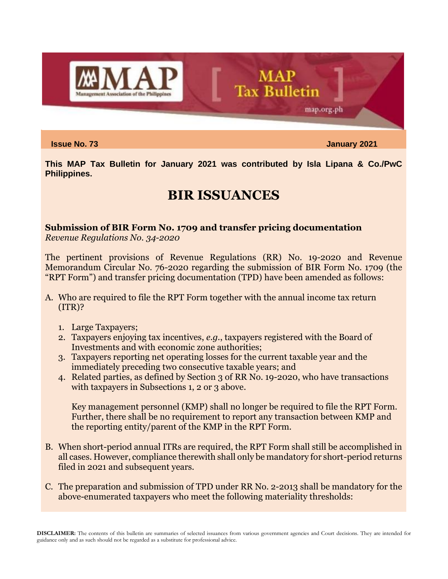

**Issue No. 73 January 2021**

map.org.ph

**This MAP Tax Bulletin for January 2021 was contributed by Isla Lipana & Co./PwC Philippines.**

**MAP** 

**Tax Bulletin** 

# **BIR ISSUANCES**

## **Submission of BIR Form No. 1709 and transfer pricing documentation**

*Revenue Regulations No. 34-2020*

The pertinent provisions of Revenue Regulations (RR) No. 19-2020 and Revenue Memorandum Circular No. 76-2020 regarding the submission of BIR Form No. 1709 (the "RPT Form") and transfer pricing documentation (TPD) have been amended as follows:

- A. Who are required to file the RPT Form together with the annual income tax return (ITR)?
	- 1. Large Taxpayers;
	- 2. Taxpayers enjoying tax incentives, *e.g.*, taxpayers registered with the Board of Investments and with economic zone authorities;
	- 3. Taxpayers reporting net operating losses for the current taxable year and the immediately preceding two consecutive taxable years; and
	- 4. Related parties, as defined by Section 3 of RR No. 19-2020, who have transactions with taxpayers in Subsections 1, 2 or 3 above.

Key management personnel (KMP) shall no longer be required to file the RPT Form. Further, there shall be no requirement to report any transaction between KMP and the reporting entity/parent of the KMP in the RPT Form.

- B. When short-period annual ITRs are required, the RPT Form shall still be accomplished in all cases. However, compliance therewith shall only be mandatory for short-period returns filed in 2021 and subsequent years.
- C. The preparation and submission of TPD under RR No. 2-2013 shall be mandatory for the above-enumerated taxpayers who meet the following materiality thresholds: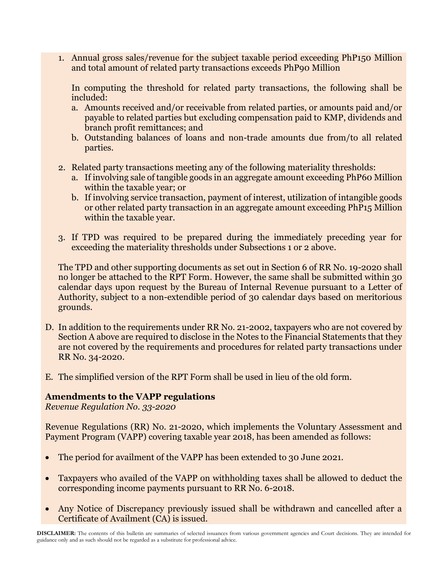1. Annual gross sales/revenue for the subject taxable period exceeding PhP150 Million and total amount of related party transactions exceeds PhP90 Million

In computing the threshold for related party transactions, the following shall be included:

- a. Amounts received and/or receivable from related parties, or amounts paid and/or payable to related parties but excluding compensation paid to KMP, dividends and branch profit remittances; and
- b. Outstanding balances of loans and non-trade amounts due from/to all related parties.
- 2. Related party transactions meeting any of the following materiality thresholds:
	- a. If involving sale of tangible goods in an aggregate amount exceeding PhP60 Million within the taxable year; or
	- b. If involving service transaction, payment of interest, utilization of intangible goods or other related party transaction in an aggregate amount exceeding PhP15 Million within the taxable year.
- 3. If TPD was required to be prepared during the immediately preceding year for exceeding the materiality thresholds under Subsections 1 or 2 above.

The TPD and other supporting documents as set out in Section 6 of RR No. 19-2020 shall no longer be attached to the RPT Form. However, the same shall be submitted within 30 calendar days upon request by the Bureau of Internal Revenue pursuant to a Letter of Authority, subject to a non-extendible period of 30 calendar days based on meritorious grounds.

- D. In addition to the requirements under RR No. 21-2002, taxpayers who are not covered by Section A above are required to disclose in the Notes to the Financial Statements that they are not covered by the requirements and procedures for related party transactions under RR No. 34-2020.
- E. The simplified version of the RPT Form shall be used in lieu of the old form.

### **Amendments to the VAPP regulations**

*Revenue Regulation No. 33-2020*

Revenue Regulations (RR) No. 21-2020, which implements the Voluntary Assessment and Payment Program (VAPP) covering taxable year 2018, has been amended as follows:

- The period for availment of the VAPP has been extended to 30 June 2021.
- Taxpayers who availed of the VAPP on withholding taxes shall be allowed to deduct the corresponding income payments pursuant to RR No. 6-2018.
- Any Notice of Discrepancy previously issued shall be withdrawn and cancelled after a Certificate of Availment (CA) is issued.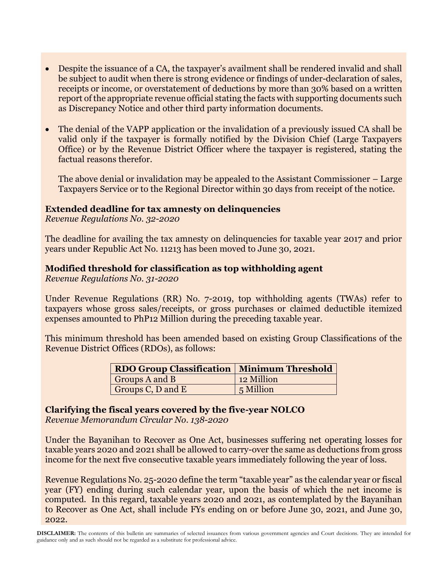- Despite the issuance of a CA, the taxpayer's availment shall be rendered invalid and shall be subject to audit when there is strong evidence or findings of under-declaration of sales, receipts or income, or overstatement of deductions by more than 30% based on a written report of the appropriate revenue official stating the facts with supporting documents such as Discrepancy Notice and other third party information documents.
- The denial of the VAPP application or the invalidation of a previously issued CA shall be valid only if the taxpayer is formally notified by the Division Chief (Large Taxpayers Office) or by the Revenue District Officer where the taxpayer is registered, stating the factual reasons therefor.

The above denial or invalidation may be appealed to the Assistant Commissioner – Large Taxpayers Service or to the Regional Director within 30 days from receipt of the notice.

#### **Extended deadline for tax amnesty on delinquencies**

*Revenue Regulations No. 32-2020*

The deadline for availing the tax amnesty on delinquencies for taxable year 2017 and prior years under Republic Act No. 11213 has been moved to June 30, 2021.

#### **Modified threshold for classification as top withholding agent**

*Revenue Regulations No. 31-2020*

Under Revenue Regulations (RR) No. 7-2019, top withholding agents (TWAs) refer to taxpayers whose gross sales/receipts, or gross purchases or claimed deductible itemized expenses amounted to PhP12 Million during the preceding taxable year.

This minimum threshold has been amended based on existing Group Classifications of the Revenue District Offices (RDOs), as follows:

| RDO Group Classification   Minimum Threshold |            |
|----------------------------------------------|------------|
| Groups A and B                               | 12 Million |
| Groups C, D and E                            | 5 Million  |

#### **Clarifying the fiscal years covered by the five-year NOLCO**

*Revenue Memorandum Circular No. 138-2020*

Under the Bayanihan to Recover as One Act, businesses suffering net operating losses for taxable years 2020 and 2021 shall be allowed to carry-over the same as deductions from gross income for the next five consecutive taxable years immediately following the year of loss.

Revenue Regulations No. 25-2020 define the term "taxable year" as the calendar year or fiscal year (FY) ending during such calendar year, upon the basis of which the net income is computed. In this regard, taxable years 2020 and 2021, as contemplated by the Bayanihan to Recover as One Act, shall include FYs ending on or before June 30, 2021, and June 30, 2022.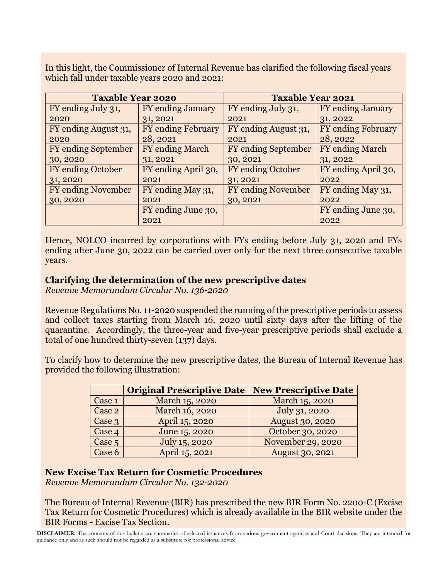In this light, the Commissioner of Internal Revenue has clarified the following fiscal years which fall under taxable years 2020 and 2021:

| <b>Taxable Year 2020</b>   |                           | <b>Taxable Year 2021</b>   |                          |
|----------------------------|---------------------------|----------------------------|--------------------------|
| FY ending July 31,         | FY ending January         | FY ending July 31,         | <b>FY</b> ending January |
| 2020                       | 31, 2021                  | 2021                       | 31, 2022                 |
| FY ending August 31,       | <b>FY</b> ending February | FY ending August 31,       | FY ending February       |
| 2020                       | 28, 2021                  | 2021                       | 28, 2022                 |
| <b>FY</b> ending September | <b>FY</b> ending March    | <b>FY</b> ending September | <b>FY</b> ending March   |
| 30, 2020                   | 31, 2021                  | 30, 2021                   | 31, 2022                 |
| <b>FY</b> ending October   | FY ending April 30,       | <b>FY</b> ending October   | FY ending April 30,      |
| 31, 2020                   | 2021                      | 31, 2021                   | 2022                     |
| <b>FY ending November</b>  | FY ending May 31,         | <b>FY</b> ending November  | FY ending May 31,        |
| 30, 2020                   | 2021                      | 30, 2021                   | 2022                     |
|                            | FY ending June 30,        |                            | FY ending June 30,       |
|                            | 2021                      |                            | 2022                     |

Hence, NOLCO incurred by corporations with FYs ending before July 31, 2020 and FYs ending after June 30, 2022 can be carried over only for the next three consecutive taxable years.

#### **Clarifying the determination of the new prescriptive dates**

*Revenue Memorandum Circular No. 136-2020*

Revenue Regulations No. 11-2020 suspended the running of the prescriptive periods to assess and collect taxes starting from March 16, 2020 until sixty days after the lifting of the quarantine. Accordingly, the three-year and five-year prescriptive periods shall exclude a total of one hundred thirty-seven (137) days.

To clarify how to determine the new prescriptive dates, the Bureau of Internal Revenue has provided the following illustration:

|        | <b>Original Prescriptive Date   New Prescriptive Date</b> |                        |
|--------|-----------------------------------------------------------|------------------------|
| Case 1 | March 15, 2020                                            | March 15, 2020         |
| Case 2 | March 16, 2020                                            | July 31, 2020          |
| Case 3 | April 15, 2020                                            | <b>August 30, 2020</b> |
| Case 4 | June 15, 2020                                             | October 30, 2020       |
| Case 5 | July 15, 2020                                             | November 29, 2020      |
| Case 6 | April 15, 2021                                            | <b>August 30, 2021</b> |

#### **New Excise Tax Return for Cosmetic Procedures**

*Revenue Memorandum Circular No. 132-2020*

The Bureau of Internal Revenue (BIR) has prescribed the new BIR Form No. 2200-C (Excise Tax Return for Cosmetic Procedures) which is already available in the BIR website under the BIR Forms - Excise Tax Section.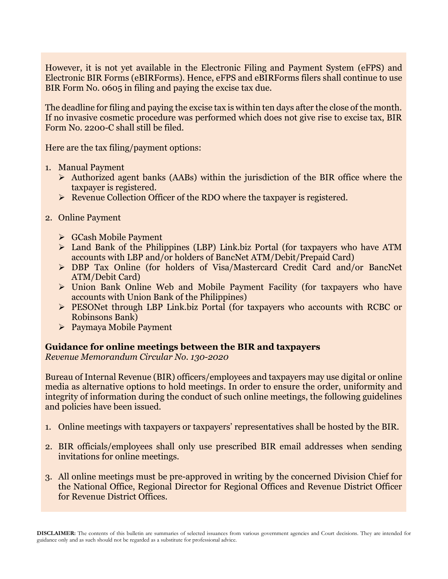However, it is not yet available in the Electronic Filing and Payment System (eFPS) and Electronic BIR Forms (eBIRForms). Hence, eFPS and eBIRForms filers shall continue to use BIR Form No. 0605 in filing and paying the excise tax due.

The deadline for filing and paying the excise tax is within ten days after the close of the month. If no invasive cosmetic procedure was performed which does not give rise to excise tax, BIR Form No. 2200-C shall still be filed.

Here are the tax filing/payment options:

- 1. Manual Payment
	- ➢ Authorized agent banks (AABs) within the jurisdiction of the BIR office where the taxpayer is registered.
	- ➢ Revenue Collection Officer of the RDO where the taxpayer is registered.

#### 2. Online Payment

- ➢ GCash Mobile Payment
- ➢ Land Bank of the Philippines (LBP) Link.biz Portal (for taxpayers who have ATM accounts with LBP and/or holders of BancNet ATM/Debit/Prepaid Card)
- ➢ DBP Tax Online (for holders of Visa/Mastercard Credit Card and/or BancNet ATM/Debit Card)
- ➢ Union Bank Online Web and Mobile Payment Facility (for taxpayers who have accounts with Union Bank of the Philippines)
- ➢ PESONet through LBP Link.biz Portal (for taxpayers who accounts with RCBC or Robinsons Bank)
- ➢ Paymaya Mobile Payment

### **Guidance for online meetings between the BIR and taxpayers**

*Revenue Memorandum Circular No. 130-2020*

Bureau of Internal Revenue (BIR) officers/employees and taxpayers may use digital or online media as alternative options to hold meetings. In order to ensure the order, uniformity and integrity of information during the conduct of such online meetings, the following guidelines and policies have been issued.

- 1. Online meetings with taxpayers or taxpayers' representatives shall be hosted by the BIR.
- 2. BIR officials/employees shall only use prescribed BIR email addresses when sending invitations for online meetings.
- 3. All online meetings must be pre-approved in writing by the concerned Division Chief for the National Office, Regional Director for Regional Offices and Revenue District Officer for Revenue District Offices.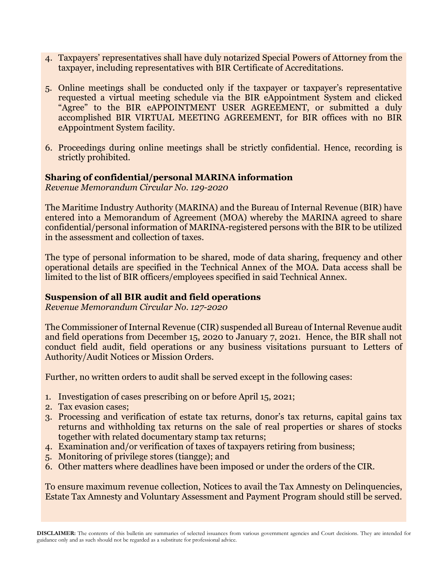- 4. Taxpayers' representatives shall have duly notarized Special Powers of Attorney from the taxpayer, including representatives with BIR Certificate of Accreditations.
- 5. Online meetings shall be conducted only if the taxpayer or taxpayer's representative requested a virtual meeting schedule via the BIR eAppointment System and clicked "Agree" to the BIR eAPPOINTMENT USER AGREEMENT, or submitted a duly accomplished BIR VIRTUAL MEETING AGREEMENT, for BIR offices with no BIR eAppointment System facility.
- 6. Proceedings during online meetings shall be strictly confidential. Hence, recording is strictly prohibited.

#### **Sharing of confidential/personal MARINA information**

*Revenue Memorandum Circular No. 129-2020*

The Maritime Industry Authority (MARINA) and the Bureau of Internal Revenue (BIR) have entered into a Memorandum of Agreement (MOA) whereby the MARINA agreed to share confidential/personal information of MARINA-registered persons with the BIR to be utilized in the assessment and collection of taxes.

The type of personal information to be shared, mode of data sharing, frequency and other operational details are specified in the Technical Annex of the MOA. Data access shall be limited to the list of BIR officers/employees specified in said Technical Annex.

#### **Suspension of all BIR audit and field operations**

*Revenue Memorandum Circular No. 127-2020*

The Commissioner of Internal Revenue (CIR) suspended all Bureau of Internal Revenue audit and field operations from December 15, 2020 to January 7, 2021. Hence, the BIR shall not conduct field audit, field operations or any business visitations pursuant to Letters of Authority/Audit Notices or Mission Orders.

Further, no written orders to audit shall be served except in the following cases:

- 1. Investigation of cases prescribing on or before April 15, 2021;
- 2. Tax evasion cases;
- 3. Processing and verification of estate tax returns, donor's tax returns, capital gains tax returns and withholding tax returns on the sale of real properties or shares of stocks together with related documentary stamp tax returns;
- 4. Examination and/or verification of taxes of taxpayers retiring from business;
- 5. Monitoring of privilege stores (tiangge); and
- 6. Other matters where deadlines have been imposed or under the orders of the CIR.

To ensure maximum revenue collection, Notices to avail the Tax Amnesty on Delinquencies, Estate Tax Amnesty and Voluntary Assessment and Payment Program should still be served.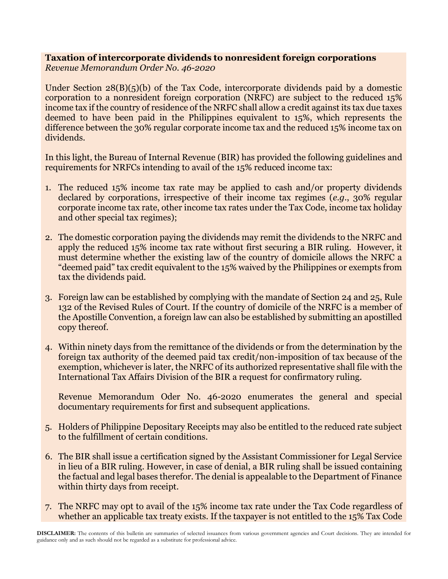## **Taxation of intercorporate dividends to nonresident foreign corporations**

*Revenue Memorandum Order No. 46-2020*

Under Section  $28(B)(5)(b)$  of the Tax Code, intercorporate dividends paid by a domestic corporation to a nonresident foreign corporation (NRFC) are subject to the reduced 15% income tax if the country of residence of the NRFC shall allow a credit against its tax due taxes deemed to have been paid in the Philippines equivalent to 15%, which represents the difference between the 30% regular corporate income tax and the reduced 15% income tax on dividends.

In this light, the Bureau of Internal Revenue (BIR) has provided the following guidelines and requirements for NRFCs intending to avail of the 15% reduced income tax:

- 1. The reduced 15% income tax rate may be applied to cash and/or property dividends declared by corporations, irrespective of their income tax regimes (*e.g.*, 30% regular corporate income tax rate, other income tax rates under the Tax Code, income tax holiday and other special tax regimes);
- 2. The domestic corporation paying the dividends may remit the dividends to the NRFC and apply the reduced 15% income tax rate without first securing a BIR ruling. However, it must determine whether the existing law of the country of domicile allows the NRFC a "deemed paid" tax credit equivalent to the 15% waived by the Philippines or exempts from tax the dividends paid.
- 3. Foreign law can be established by complying with the mandate of Section 24 and 25, Rule 132 of the Revised Rules of Court. If the country of domicile of the NRFC is a member of the Apostille Convention, a foreign law can also be established by submitting an apostilled copy thereof.
- 4. Within ninety days from the remittance of the dividends or from the determination by the foreign tax authority of the deemed paid tax credit/non-imposition of tax because of the exemption, whichever is later, the NRFC of its authorized representative shall file with the International Tax Affairs Division of the BIR a request for confirmatory ruling.

Revenue Memorandum Oder No. 46-2020 enumerates the general and special documentary requirements for first and subsequent applications.

- 5. Holders of Philippine Depositary Receipts may also be entitled to the reduced rate subject to the fulfillment of certain conditions.
- 6. The BIR shall issue a certification signed by the Assistant Commissioner for Legal Service in lieu of a BIR ruling. However, in case of denial, a BIR ruling shall be issued containing the factual and legal bases therefor. The denial is appealable to the Department of Finance within thirty days from receipt.
- 7. The NRFC may opt to avail of the 15% income tax rate under the Tax Code regardless of whether an applicable tax treaty exists. If the taxpayer is not entitled to the 15% Tax Code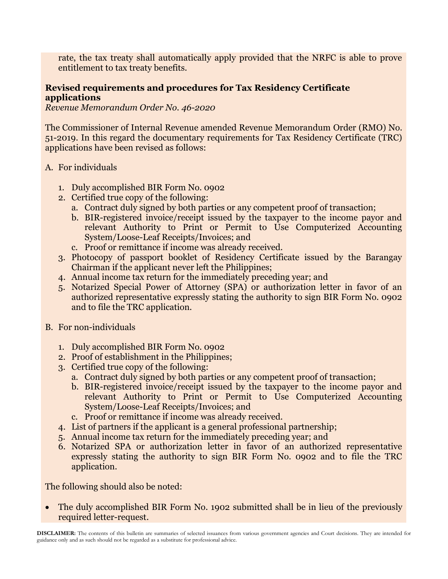rate, the tax treaty shall automatically apply provided that the NRFC is able to prove entitlement to tax treaty benefits.

### **Revised requirements and procedures for Tax Residency Certificate applications**

*Revenue Memorandum Order No. 46-2020*

The Commissioner of Internal Revenue amended Revenue Memorandum Order (RMO) No. 51-2019. In this regard the documentary requirements for Tax Residency Certificate (TRC) applications have been revised as follows:

- A. For individuals
	- 1. Duly accomplished BIR Form No. 0902
	- 2. Certified true copy of the following:
		- a. Contract duly signed by both parties or any competent proof of transaction;
		- b. BIR-registered invoice/receipt issued by the taxpayer to the income payor and relevant Authority to Print or Permit to Use Computerized Accounting System/Loose-Leaf Receipts/Invoices; and
		- c. Proof or remittance if income was already received.
	- 3. Photocopy of passport booklet of Residency Certificate issued by the Barangay Chairman if the applicant never left the Philippines;
	- 4. Annual income tax return for the immediately preceding year; and
	- 5. Notarized Special Power of Attorney (SPA) or authorization letter in favor of an authorized representative expressly stating the authority to sign BIR Form No. 0902 and to file the TRC application.
- B. For non-individuals
	- 1. Duly accomplished BIR Form No. 0902
	- 2. Proof of establishment in the Philippines;
	- 3. Certified true copy of the following:
		- a. Contract duly signed by both parties or any competent proof of transaction;
		- b. BIR-registered invoice/receipt issued by the taxpayer to the income payor and relevant Authority to Print or Permit to Use Computerized Accounting System/Loose-Leaf Receipts/Invoices; and
		- c. Proof or remittance if income was already received.
	- 4. List of partners if the applicant is a general professional partnership;
	- 5. Annual income tax return for the immediately preceding year; and
	- 6. Notarized SPA or authorization letter in favor of an authorized representative expressly stating the authority to sign BIR Form No. 0902 and to file the TRC application.

The following should also be noted:

• The duly accomplished BIR Form No. 1902 submitted shall be in lieu of the previously required letter-request.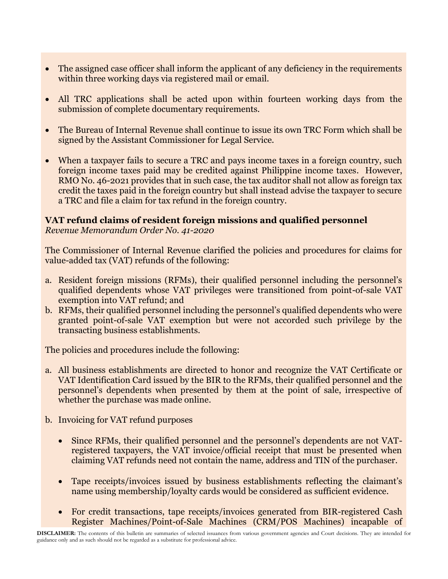- The assigned case officer shall inform the applicant of any deficiency in the requirements within three working days via registered mail or email.
- All TRC applications shall be acted upon within fourteen working days from the submission of complete documentary requirements.
- The Bureau of Internal Revenue shall continue to issue its own TRC Form which shall be signed by the Assistant Commissioner for Legal Service.
- When a taxpayer fails to secure a TRC and pays income taxes in a foreign country, such foreign income taxes paid may be credited against Philippine income taxes. However, RMO No. 46-2021 provides that in such case, the tax auditor shall not allow as foreign tax credit the taxes paid in the foreign country but shall instead advise the taxpayer to secure a TRC and file a claim for tax refund in the foreign country.

#### **VAT refund claims of resident foreign missions and qualified personnel** *Revenue Memorandum Order No. 41-2020*

The Commissioner of Internal Revenue clarified the policies and procedures for claims for value-added tax (VAT) refunds of the following:

- a. Resident foreign missions (RFMs), their qualified personnel including the personnel's qualified dependents whose VAT privileges were transitioned from point-of-sale VAT exemption into VAT refund; and
- b. RFMs, their qualified personnel including the personnel's qualified dependents who were granted point-of-sale VAT exemption but were not accorded such privilege by the transacting business establishments.

The policies and procedures include the following:

- a. All business establishments are directed to honor and recognize the VAT Certificate or VAT Identification Card issued by the BIR to the RFMs, their qualified personnel and the personnel's dependents when presented by them at the point of sale, irrespective of whether the purchase was made online.
- b. Invoicing for VAT refund purposes
	- Since RFMs, their qualified personnel and the personnel's dependents are not VATregistered taxpayers, the VAT invoice/official receipt that must be presented when claiming VAT refunds need not contain the name, address and TIN of the purchaser.
	- Tape receipts/invoices issued by business establishments reflecting the claimant's name using membership/loyalty cards would be considered as sufficient evidence.
	- For credit transactions, tape receipts/invoices generated from BIR-registered Cash Register Machines/Point-of-Sale Machines (CRM/POS Machines) incapable of